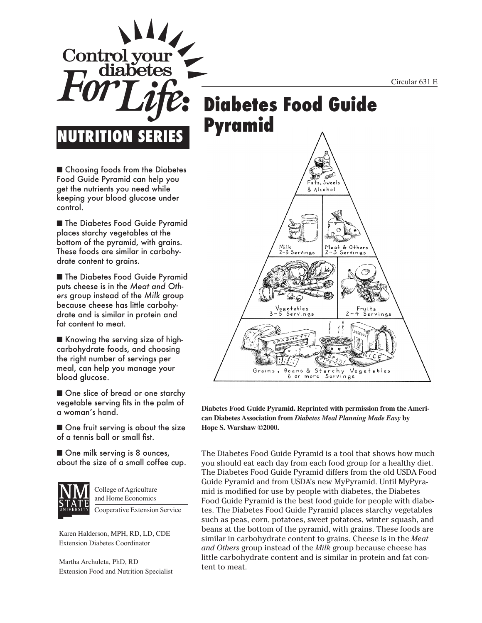Circular 631 E

# **Diabetes Food Guide Pyramid**

■ Choosing foods from the Diabetes Food Guide Pyramid can help you get the nutrients you need while keeping your blood glucose under control.

Control vo

**NUMBERIE** 

■ The Diabetes Food Guide Pyramid places starchy vegetables at the bottom of the pyramid, with grains. These foods are similar in carbohydrate content to grains.

■ The Diabetes Food Guide Pyramid puts cheese is in the *Meat and Others* group instead of the *Milk* group because cheese has little carbohydrate and is similar in protein and fat content to meat.

■ Knowing the serving size of highcarbohydrate foods, and choosing the right number of servings per meal, can help you manage your blood glucose.

■ One slice of bread or one starchy vegetable serving fits in the palm of a woman's hand.

■ One fruit serving is about the size of a tennis ball or small fist.

■ One milk serving is 8 ounces, about the size of a small coffee cup.



College of Agriculture and Home Economics

Cooperative Extension Service

Karen Halderson, MPH, RD, LD, CDE Extension Diabetes Coordinator

Martha Archuleta, PhD, RD Extension Food and Nutrition Specialist



**Diabetes Food Guide Pyramid. Reprinted with permission from the American Diabetes Association from** *Diabetes Meal Planning Made Easy* **by Hope S. Warshaw ©2000.**

The Diabetes Food Guide Pyramid is a tool that shows how much you should eat each day from each food group for a healthy diet. The Diabetes Food Guide Pyramid differs from the old USDA Food Guide Pyramid and from USDA's new MyPyramid. Until MyPyramid is modified for use by people with diabetes, the Diabetes Food Guide Pyramid is the best food guide for people with diabetes. The Diabetes Food Guide Pyramid places starchy vegetables such as peas, corn, potatoes, sweet potatoes, winter squash, and beans at the bottom of the pyramid, with grains. These foods are similar in carbohydrate content to grains. Cheese is in the *Meat and Others* group instead of the *Milk* group because cheese has little carbohydrate content and is similar in protein and fat content to meat.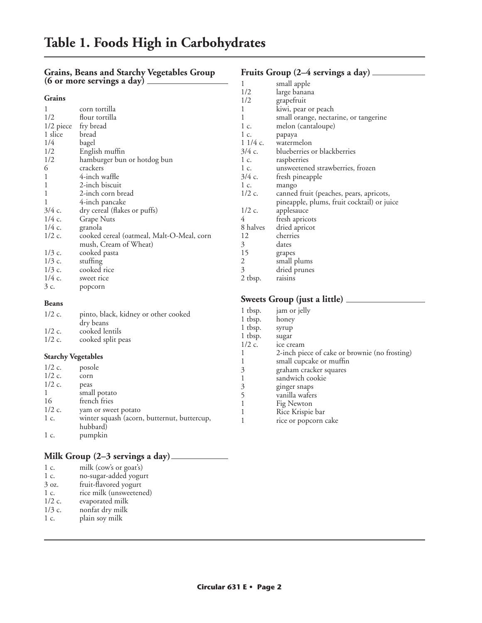#### **Grains, Beans and Starchy Vegetables Group (6 or more servings a day)**

| ., | .,<br>.<br>۰. |
|----|---------------|

| 1                   | corn tortilla                                     |
|---------------------|---------------------------------------------------|
| 1/2                 | flour tortilla                                    |
| 1/2 piece fry bread |                                                   |
| 1 slice             | bread                                             |
| 1/4                 | bagel                                             |
| 1/2                 | English muffin                                    |
| 1/2                 | hamburger bun or hotdog bun                       |
| 6                   | crackers                                          |
| 1                   | 4-inch waffle                                     |
| 1                   | 2-inch biscuit                                    |
| 1                   | 2-inch corn bread                                 |
| 1                   | 4-inch pancake                                    |
| 3/4 c.              | dry cereal (flakes or puffs)                      |
| $1/4c$ .            | <b>Grape Nuts</b>                                 |
| $1/4$ c.            | granola                                           |
| $1/2$ c.            | cooked cereal (oatmeal, Malt-O-Meal, corn         |
|                     | mush, Cream of Wheat)                             |
| $1/3$ c.            | cooked pasta                                      |
| $1/3$ c.            | stuffing                                          |
| $1/3$ c.            | cooked rice                                       |
| $1/4c$ .            | sweet rice                                        |
| 3 c.                | popcorn                                           |
| <b>Beans</b>        |                                                   |
|                     |                                                   |
| $1/2c$ .            | pinto, black, kidney or other cooked<br>dry beans |

### **Fruits Group (2–4 servings a day)**

| 1        | small apple                                |
|----------|--------------------------------------------|
| 1/2      | large banana                               |
| 1/2      | grapefruit                                 |
| 1        | kiwi, pear or peach                        |
| 1        | small orange, nectarine, or tangerine      |
| 1 c.     | melon (cantaloupe)                         |
| 1 c.     | papaya                                     |
|          | 1 1/4 c. watermelon                        |
| $3/4$ c. | blueberries or blackberries                |
| 1 c.     | raspberries                                |
| 1 c.     | unsweetened strawberries, frozen           |
| 3/4 с.   | fresh pineapple                            |
| 1 c.     | mango                                      |
| $1/2$ c. | canned fruit (peaches, pears, apricots,    |
|          | pineapple, plums, fruit cocktail) or juice |
| $1/2$ c. | applesauce                                 |
| 4        | fresh apricots                             |
| 8 halves | dried apricot                              |
| 12       | cherries                                   |
| 3        | dates                                      |
| 15       | grapes                                     |
| 2        | small plums                                |
| 3        | dried prunes                               |
| 2 tbsp.  | raisins                                    |

### **Sweets Group (just a little)**

|                           |                                             | 1 tbsp.  | jam or jelly                                  |
|---------------------------|---------------------------------------------|----------|-----------------------------------------------|
| $1/2$ c.                  | pinto, black, kidney or other cooked        |          |                                               |
|                           | dry beans                                   | 1 tbsp.  | honey                                         |
| $1/2$ c.                  | cooked lentils                              | 1 tbsp.  | syrup                                         |
| $1/2$ c.                  |                                             | 1 tbsp.  | sugar                                         |
|                           | cooked split peas                           | $1/2$ c. | ice cream                                     |
| <b>Starchy Vegetables</b> |                                             |          | 2-inch piece of cake or brownie (no frosting) |
|                           |                                             |          | small cupcake or muffin                       |
| $1/2$ c.                  | posole                                      | 3        | graham cracker squares                        |
| $1/2$ c.                  | corn                                        |          | sandwich cookie                               |
| $1/2$ c.                  | peas                                        | 3        | ginger snaps                                  |
| $\mathbf{1}$              | small potato                                |          |                                               |
| 16                        | french fries                                |          | vanilla wafers                                |
|                           |                                             |          | Fig Newton                                    |
| $1/2$ c.                  | yam or sweet potato                         |          | Rice Krispie bar                              |
| $1\,c.$                   | winter squash (acorn, butternut, buttercup, |          | rice or popcorn cake                          |
|                           | hubbard)                                    |          |                                               |
| 1 c.                      | pumpkin                                     |          |                                               |

### **Milk Group (2–3 servings a day)**

| 1 c.            | milk (cow's or goat's)  |
|-----------------|-------------------------|
| $1\,c.$         | no-sugar-added yogurt   |
| $3 \text{ oz.}$ | fruit-flavored yogurt   |
| 1 c.            | rice milk (unsweetened) |
| $1/2$ c.        | evaporated milk         |
| $1/3$ c.        | nonfat dry milk         |
| 1 c.            | plain soy milk          |
|                 |                         |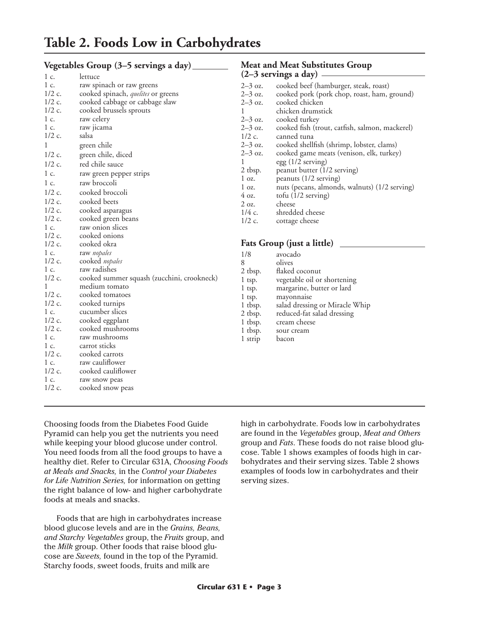|                      | Vegetables Group (3–5 servings a day)                       |                 | <b>Meat and Meat Substitutes Group</b>         |
|----------------------|-------------------------------------------------------------|-----------------|------------------------------------------------|
| 1 c.                 | lettuce                                                     |                 | $(2-3$ servings a day) —                       |
| 1 c.                 | raw spinach or raw greens                                   | $2-3$ oz.       | cooked beef (hamburger, steak, roast)          |
| $1/2$ c.             | cooked spinach, <i>quelites</i> or greens                   | $2 - 3$ oz.     | cooked pork (pork chop, roast, ham, ground)    |
| $1/2$ c.             | cooked cabbage or cabbage slaw                              | $2 - 3$ oz.     | cooked chicken                                 |
| $1/2$ c.             | cooked brussels sprouts                                     | $\mathbf{1}$    | chicken drumstick                              |
| 1 c.                 | raw celery                                                  | $2 - 3$ oz.     | cooked turkey                                  |
| 1 c.                 | raw jicama                                                  | $2-3$ oz.       | cooked fish (trout, catfish, salmon, mackerel) |
| $1/2$ c.             | salsa                                                       | $1/2$ c.        | canned tuna                                    |
| 1                    | green chile                                                 | $2 - 3$ oz.     | cooked shellfish (shrimp, lobster, clams)      |
| $1/2$ c.             | green chile, diced                                          | $2-3$ oz.       | cooked game meats (venison, elk, turkey)       |
| $1/2$ c.             | red chile sauce                                             | 1               | egg (1/2 serving)                              |
| 1 c.                 | raw green pepper strips                                     | 2 tbsp.         | peanut butter (1/2 serving)                    |
| 1 c.                 | raw broccoli                                                | $1 \text{ oz.}$ | peanuts (1/2 serving)                          |
|                      |                                                             | $\log$ .        | nuts (pecans, almonds, walnuts) (1/2 serving)  |
| $1/2$ c.             | cooked broccoli                                             | $4 \text{ oz.}$ | tofu $(1/2$ serving)                           |
| $1/2$ c.             | cooked beets                                                | $2$ oz.         | cheese                                         |
| $1/2$ c.             | cooked asparagus                                            | $1/4c$ .        | shredded cheese                                |
| $1/2$ c.             | cooked green beans                                          | $1/2$ c.        | cottage cheese                                 |
| 1 c.                 | raw onion slices                                            |                 |                                                |
| $1/2$ c.<br>$1/2$ c. | cooked onions                                               |                 | Fats Group (just a little)                     |
| 1 c.                 | cooked okra                                                 |                 |                                                |
| $1/2$ c.             | raw nopales                                                 | 1/8             | avocado                                        |
| 1 c.                 | cooked nopales<br>raw radishes                              | 8               | olives                                         |
| $1/2$ c.             |                                                             | 2 tbsp.         | flaked coconut                                 |
| 1                    | cooked summer squash (zucchini, crookneck)<br>medium tomato | $1$ tsp.        | vegetable oil or shortening                    |
| $1/2$ c.             | cooked tomatoes                                             | $1$ tsp.        | margarine, butter or lard                      |
| $1/2$ c.             | cooked turnips                                              | $1$ tsp.        | mayonnaise                                     |
| 1 c.                 | cucumber slices                                             | 1 tbsp.         | salad dressing or Miracle Whip                 |
| $1/2$ c.             | cooked eggplant                                             | 2 tbsp.         | reduced-fat salad dressing                     |
| $1/2$ c.             | cooked mushrooms                                            | 1 tbsp.         | cream cheese                                   |
| 1 c.                 | raw mushrooms                                               | 1 tbsp.         | sour cream                                     |
| 1 c.                 | carrot sticks                                               | 1 strip         | bacon                                          |
| $1/2$ c.             | cooked carrots                                              |                 |                                                |
| 1 c.                 | raw cauliflower                                             |                 |                                                |
| $1/2$ c.             | cooked cauliflower                                          |                 |                                                |
| 1 c.                 | raw snow peas                                               |                 |                                                |
| $1/2$ c.             | cooked snow peas                                            |                 |                                                |

Choosing foods from the Diabetes Food Guide Pyramid can help you get the nutrients you need while keeping your blood glucose under control. You need foods from all the food groups to have a healthy diet. Refer to Circular 631A, *Choosing Foods at Meals and Snacks,* in the *Control your Diabetes for Life Nutrition Series,* for information on getting the right balance of low- and higher carbohydrate foods at meals and snacks.

Foods that are high in carbohydrates increase blood glucose levels and are in the *Grains, Beans, and Starchy Vegetables* group, the *Fruits* group, and the *Milk* group. Other foods that raise blood glucose are *Sweets,* found in the top of the Pyramid. Starchy foods, sweet foods, fruits and milk are

high in carbohydrate. Foods low in carbohydrates are found in the *Vegetables* group, *Meat and Others* group and *Fats*. These foods do not raise blood glucose. Table 1 shows examples of foods high in carbohydrates and their serving sizes. Table 2 shows examples of foods low in carbohydrates and their serving sizes.